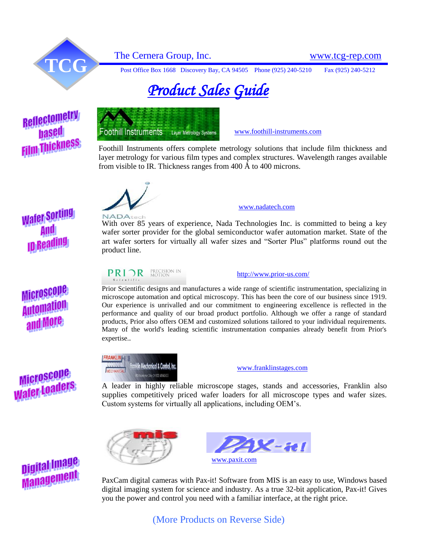

The Cernera Group, Inc.<br>
Post Office Box 1668 Discovery Bay, CA 94505 Phone (925) 240-5210 Fax (925) 240-5212

# *Product Sales Guide*

## Reflectometry **hased Film Thickness**



[www.foothill-instruments.com](http://www.foothill-instruments.com/)

Foothill Instruments offers complete metrology solutions that include film thickness and layer metrology for various film types and complex structures. Wavelength ranges available from visible to IR. Thickness ranges from 400 Å to 400 microns.



#### [www.nadatech.com](http://www.nadatech.com/)

With over 85 years of experience, Nada Technologies Inc. is committed to being a key wafer sorter provider for the global semiconductor wafer automation market. State of the art wafer sorters for virtually all wafer sizes and "Sorter Plus" platforms round out the product line.

### **PRIOR PRECISION IN**

Prior Scientific designs and manufactures a wide range of scientific instrumentation, specializing in microscope automation and optical microscopy. This has been the core of our business since 1919. Our experience is unrivalled and our commitment to engineering excellence is reflected in the performance and quality of our broad product portfolio. Although we offer a range of standard products, Prior also offers OEM and customized solutions tailored to your individual requirements. Many of the world's leading scientific instrumentation companies already benefit from Prior's



expertise..

[www.franklinstages.com](http://www.franklinstages.com/)

<http://www.prior-us.com/>

A leader in highly reliable microscope stages, stands and accessories, Franklin also supplies competitively priced wafer loaders for all microscope types and wafer sizes. Custom systems for virtually all applications, including OEM's.



PaxCam digital cameras with Pax-it! Software from MIS is an easy to use, Windows based digital imaging system for science and industry. As a true 32-bit application, Pax-it! Gives you the power and control you need with a familiar interface, at the right price.

(More Products on Reverse Side)



# **Wafer Sorting ID Rea**

## Microscope **Automati** and More

Microscoue

**MIGHASSOPHERS**